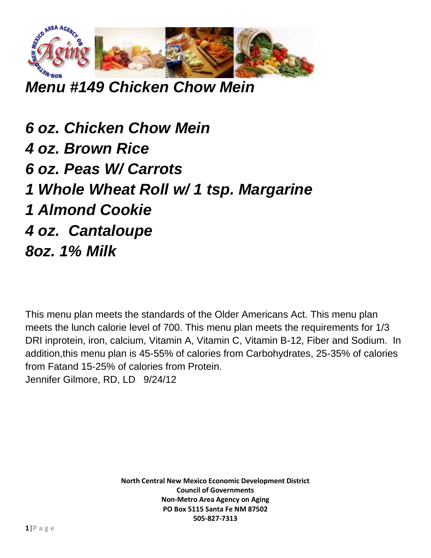

*Menu #149 Chicken Chow Mein* 

*6 oz. Chicken Chow Mein 4 oz. Brown Rice 6 oz. Peas W/ Carrots 1 Whole Wheat Roll w/ 1 tsp. Margarine 1 Almond Cookie 4 oz. Cantaloupe 8oz. 1% Milk*

This menu plan meets the standards of the Older Americans Act. This menu plan meets the lunch calorie level of 700. This menu plan meets the requirements for 1/3 DRI inprotein, iron, calcium, Vitamin A, Vitamin C, Vitamin B-12, Fiber and Sodium. In addition,this menu plan is 45-55% of calories from Carbohydrates, 25-35% of calories from Fatand 15-25% of calories from Protein. Jennifer Gilmore, RD, LD 9/24/12

> **North Central New Mexico Economic Development District Council of Governments Non-Metro Area Agency on Aging PO Box 5115 Santa Fe NM 87502 505-827-7313**